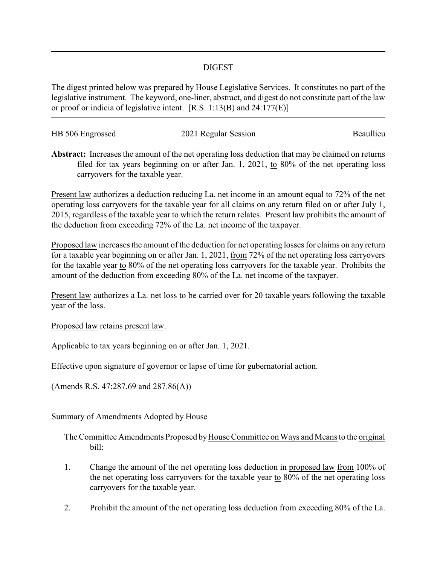## DIGEST

The digest printed below was prepared by House Legislative Services. It constitutes no part of the legislative instrument. The keyword, one-liner, abstract, and digest do not constitute part of the law or proof or indicia of legislative intent. [R.S. 1:13(B) and 24:177(E)]

| HB 506 Engrossed | 2021 Regular Session | Beaullieu |
|------------------|----------------------|-----------|
|                  |                      |           |

**Abstract:** Increases the amount of the net operating loss deduction that may be claimed on returns filed for tax years beginning on or after Jan. 1, 2021, to 80% of the net operating loss carryovers for the taxable year.

Present law authorizes a deduction reducing La. net income in an amount equal to 72% of the net operating loss carryovers for the taxable year for all claims on any return filed on or after July 1, 2015, regardless of the taxable year to which the return relates. Present law prohibits the amount of the deduction from exceeding 72% of the La. net income of the taxpayer.

Proposed law increases the amount of the deduction for net operating losses for claims on any return for a taxable year beginning on or after Jan. 1, 2021, from 72% of the net operating loss carryovers for the taxable year to 80% of the net operating loss carryovers for the taxable year. Prohibits the amount of the deduction from exceeding 80% of the La. net income of the taxpayer.

Present law authorizes a La. net loss to be carried over for 20 taxable years following the taxable year of the loss.

Proposed law retains present law.

Applicable to tax years beginning on or after Jan. 1, 2021.

Effective upon signature of governor or lapse of time for gubernatorial action.

(Amends R.S. 47:287.69 and 287.86(A))

## Summary of Amendments Adopted by House

The Committee Amendments Proposed by House Committee on Ways and Means to the original bill:

- 1. Change the amount of the net operating loss deduction in proposed law from 100% of the net operating loss carryovers for the taxable year to 80% of the net operating loss carryovers for the taxable year.
- 2. Prohibit the amount of the net operating loss deduction from exceeding 80% of the La.